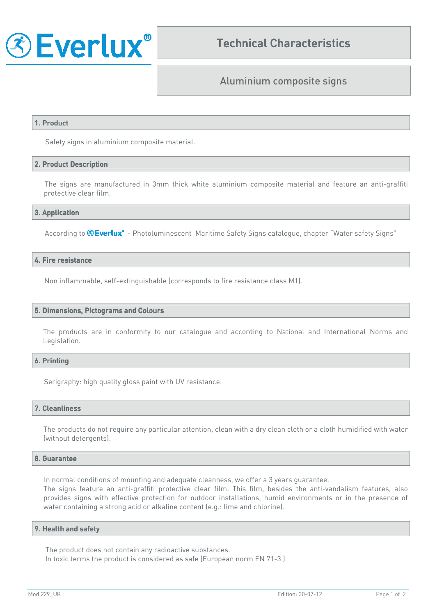

# Aluminium composite signs

### 1. Product

Safety signs in aluminium composite material.

## 2. Product Description 2. Product Description

The signs are manufactured in 3mm thick white aluminium composite material and feature an anti-graffiti protective clear film.

#### 3. Application 3.

According to **Everlux**<sup>\*</sup> - Photoluminescent Maritime Safety Signs catalogue, chapter "Water safety Signs"

### 4. Fire resistance

Non inflammable, self-extinguishable (corresponds to fire resistance class M1).

#### 5. Dimensions, Pictograms and Colours

The products are in conformity to our catalogue and according to National and International Norms and Legislation.

#### 6. Printing

Serigraphy: high quality gloss paint with UV resistance.

#### 7. Cleanliness

The products do not require any particular attention, clean with a dry clean cloth or a cloth humidified with water (without detergents).

#### 8. Guarantee

In normal conditions of mounting and adequate cleanness, we offer a 3 years guarantee.

The signs feature an anti-graffiti protective clear film. This film, besides the anti-vandalism features, also provides signs with effective protection for outdoor installations, humid environments or in the presence of water containing a strong acid or alkaline content (e.g.: lime and chlorine).

#### 9. Health and safety

The product does not contain any radioactive substances. In toxic terms the product is considered as safe (European norm EN 71-3.)